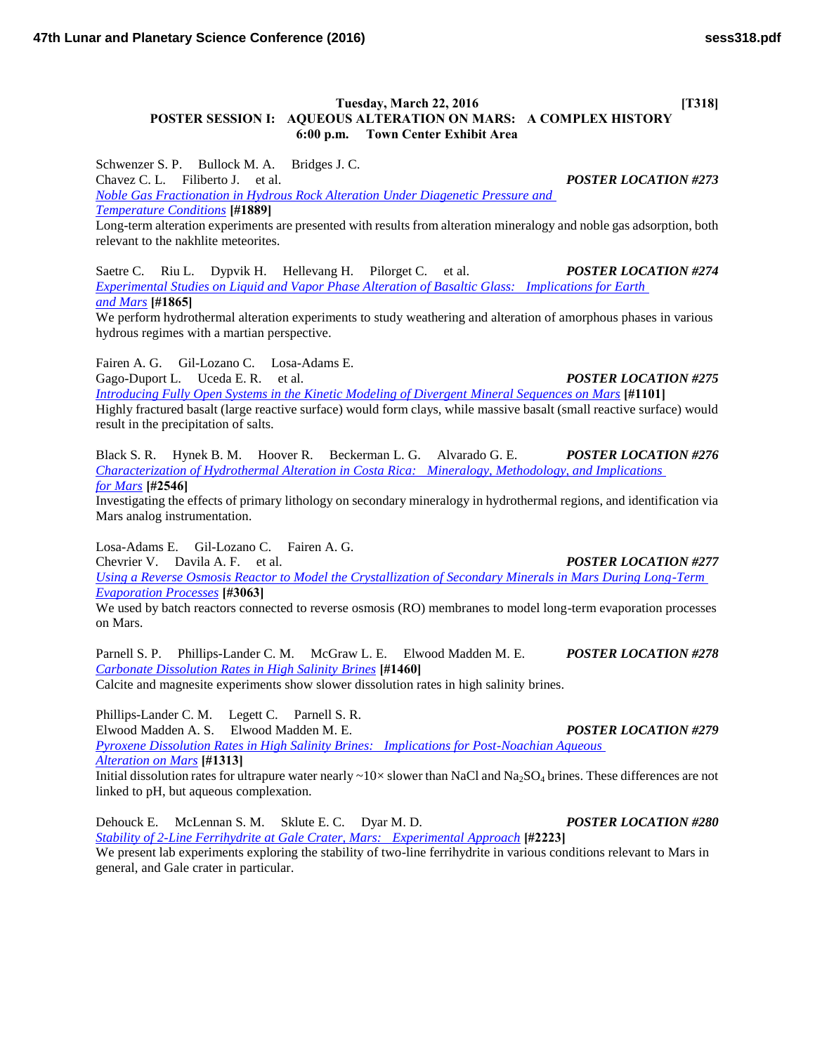## **Tuesday, March 22, 2016** [T318] **POSTER SESSION I: AQUEOUS ALTERATION ON MARS: A COMPLEX HISTORY 6:00 p.m. Town Center Exhibit Area**

Schwenzer S. P. Bullock M. A. Bridges J. C. Chavez C. L. Filiberto J. et al. *POSTER LOCATION #273 [Noble Gas Fractionation in Hydrous Rock Alteration Under Diagenetic Pressure and](http://www.hou.usra.edu/meetings/lpsc2016/pdf/1889.pdf)  [Temperature Conditions](http://www.hou.usra.edu/meetings/lpsc2016/pdf/1889.pdf)* **[#1889]**

Long-term alteration experiments are presented with results from alteration mineralogy and noble gas adsorption, both relevant to the nakhlite meteorites.

Saetre C. Riu L. Dypvik H. Hellevang H. Pilorget C. et al. *POSTER LOCATION #274 [Experimental Studies on Liquid and Vapor Phase Alteration of Basaltic Glass: Implications for Earth](http://www.hou.usra.edu/meetings/lpsc2016/pdf/1865.pdf)  [and Mars](http://www.hou.usra.edu/meetings/lpsc2016/pdf/1865.pdf)* **[#1865]**

We perform hydrothermal alteration experiments to study weathering and alteration of amorphous phases in various hydrous regimes with a martian perspective.

Fairen A. G. Gil-Lozano C. Losa-Adams E.

Gago-Duport L. Uceda E. R. et al. *POSTER LOCATION #275* 

*[Introducing Fully Open Systems in the Kinetic Modeling of Divergent Mineral Sequences on Mars](http://www.hou.usra.edu/meetings/lpsc2016/pdf/1101.pdf)* **[#1101]**

Highly fractured basalt (large reactive surface) would form clays, while massive basalt (small reactive surface) would result in the precipitation of salts.

Black S. R. Hynek B. M. Hoover R. Beckerman L. G. Alvarado G. E. *POSTER LOCATION #276 [Characterization of Hydrothermal Alteration in Costa Rica: Mineralogy, Methodology, and Implications](http://www.hou.usra.edu/meetings/lpsc2016/pdf/2546.pdf)  [for Mars](http://www.hou.usra.edu/meetings/lpsc2016/pdf/2546.pdf)* **[#2546]**

Investigating the effects of primary lithology on secondary mineralogy in hydrothermal regions, and identification via Mars analog instrumentation.

Losa-Adams E. Gil-Lozano C. Fairen A. G.

Chevrier V. Davila A. F. et al. *POSTER LOCATION #277*

*[Using a Reverse Osmosis Reactor to Model the Crystallization of Secondary Minerals in Mars During Long-Term](http://www.hou.usra.edu/meetings/lpsc2016/pdf/3063.pdf)  [Evaporation Processes](http://www.hou.usra.edu/meetings/lpsc2016/pdf/3063.pdf)* **[#3063]**

We used by batch reactors connected to reverse osmosis (RO) membranes to model long-term evaporation processes on Mars.

Parnell S. P. Phillips-Lander C. M. McGraw L. E. Elwood Madden M. E. *POSTER LOCATION #278 [Carbonate Dissolution Rates in High Salinity Brines](http://www.hou.usra.edu/meetings/lpsc2016/pdf/1460.pdf)* **[#1460]**

Calcite and magnesite experiments show slower dissolution rates in high salinity brines.

Phillips-Lander C. M. Legett C. Parnell S. R. Elwood Madden A. S. Elwood Madden M. E. *POSTER LOCATION #279 [Pyroxene Dissolution Rates in High Salinity Brines: Implications for Post-Noachian Aqueous](http://www.hou.usra.edu/meetings/lpsc2016/pdf/1313.pdf)  [Alteration on Mars](http://www.hou.usra.edu/meetings/lpsc2016/pdf/1313.pdf)* **[#1313]**

Initial dissolution rates for ultrapure water nearly ~10× slower than NaCl and Na<sub>2</sub>SO<sub>4</sub> brines. These differences are not linked to pH, but aqueous complexation.

Dehouck E. McLennan S. M. Sklute E. C. Dyar M. D. *POSTER LOCATION #280 [Stability of 2-Line Ferrihydrite at Gale Crater, Mars: Experimental Approach](http://www.hou.usra.edu/meetings/lpsc2016/pdf/2223.pdf)* **[#2223]** We present lab experiments exploring the stability of two-line ferrihydrite in various conditions relevant to Mars in general, and Gale crater in particular.